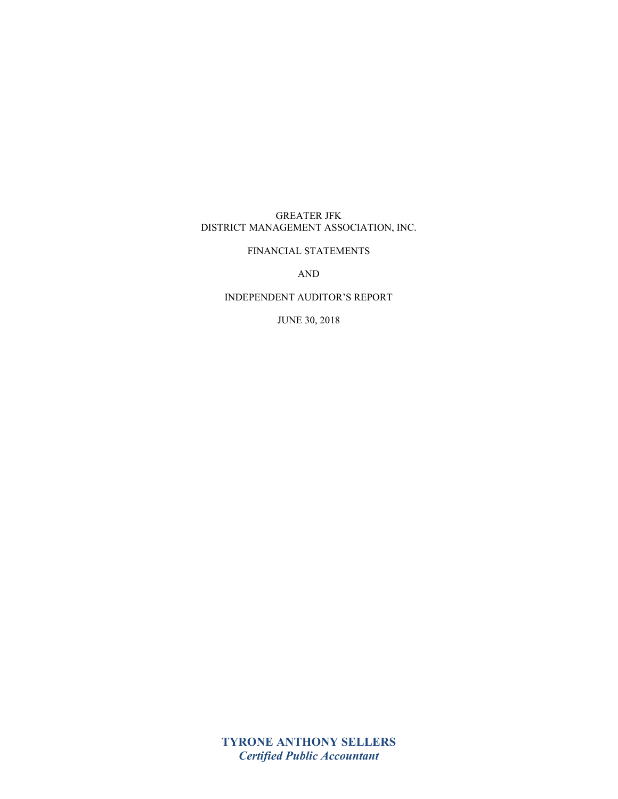## FINANCIAL STATEMENTS

AND

### INDEPENDENT AUDITOR'S REPORT

JUNE 30, 2018

**TYRONE ANTHONY SELLERS**  *Certified Public Accountant*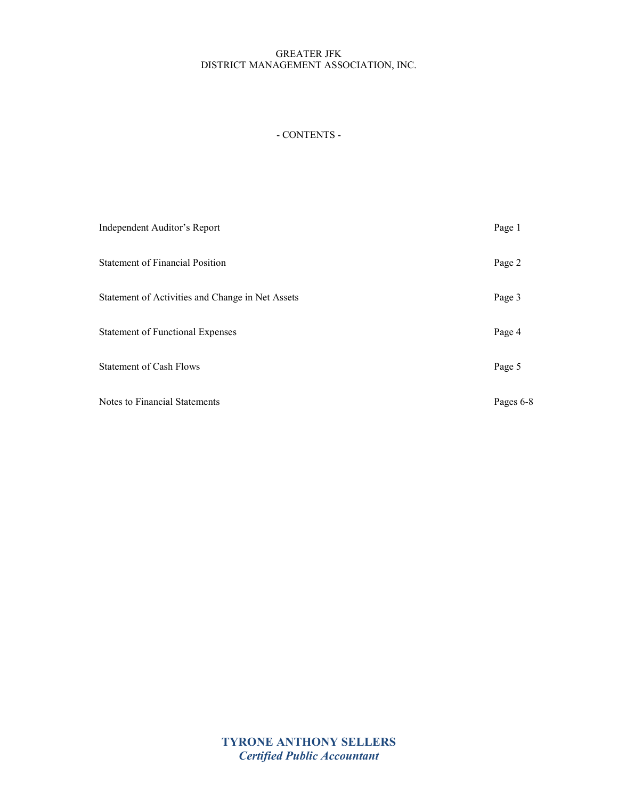# - CONTENTS -

| Independent Auditor's Report                     | Page 1    |
|--------------------------------------------------|-----------|
| <b>Statement of Financial Position</b>           | Page 2    |
| Statement of Activities and Change in Net Assets | Page 3    |
| <b>Statement of Functional Expenses</b>          | Page 4    |
| <b>Statement of Cash Flows</b>                   | Page 5    |
| Notes to Financial Statements                    | Pages 6-8 |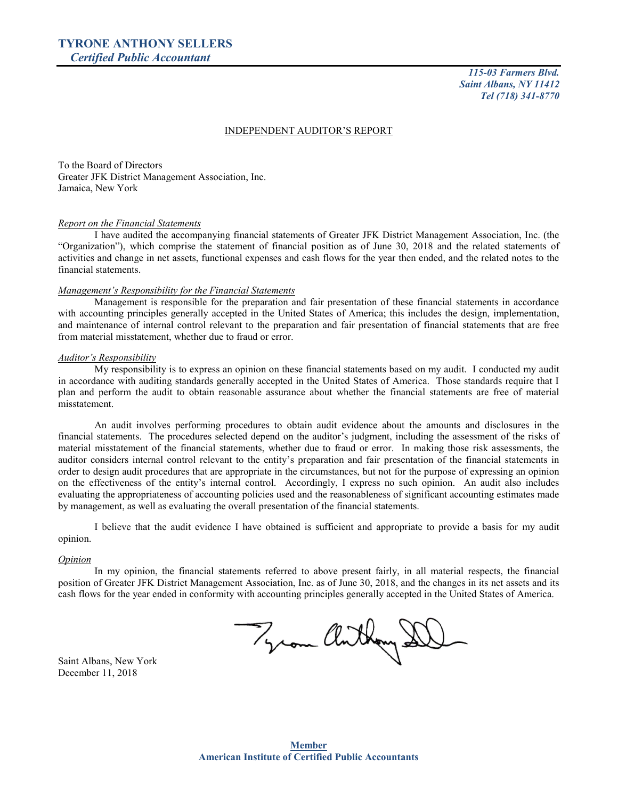*115-03 Farmers Blvd. Saint Albans, NY 11412 Tel (718) 341-8770* 

#### INDEPENDENT AUDITOR'S REPORT

To the Board of Directors Greater JFK District Management Association, Inc. Jamaica, New York

#### *Report on the Financial Statements*

I have audited the accompanying financial statements of Greater JFK District Management Association, Inc. (the "Organization"), which comprise the statement of financial position as of June 30, 2018 and the related statements of activities and change in net assets, functional expenses and cash flows for the year then ended, and the related notes to the financial statements.

#### *Management's Responsibility for the Financial Statements*

Management is responsible for the preparation and fair presentation of these financial statements in accordance with accounting principles generally accepted in the United States of America; this includes the design, implementation, and maintenance of internal control relevant to the preparation and fair presentation of financial statements that are free from material misstatement, whether due to fraud or error.

#### *Auditor's Responsibility*

My responsibility is to express an opinion on these financial statements based on my audit. I conducted my audit in accordance with auditing standards generally accepted in the United States of America. Those standards require that I plan and perform the audit to obtain reasonable assurance about whether the financial statements are free of material misstatement.

An audit involves performing procedures to obtain audit evidence about the amounts and disclosures in the financial statements. The procedures selected depend on the auditor's judgment, including the assessment of the risks of material misstatement of the financial statements, whether due to fraud or error. In making those risk assessments, the auditor considers internal control relevant to the entity's preparation and fair presentation of the financial statements in order to design audit procedures that are appropriate in the circumstances, but not for the purpose of expressing an opinion on the effectiveness of the entity's internal control. Accordingly, I express no such opinion. An audit also includes evaluating the appropriateness of accounting policies used and the reasonableness of significant accounting estimates made by management, as well as evaluating the overall presentation of the financial statements.

I believe that the audit evidence I have obtained is sufficient and appropriate to provide a basis for my audit opinion.

#### *Opinion*

In my opinion, the financial statements referred to above present fairly, in all material respects, the financial position of Greater JFK District Management Association, Inc. as of June 30, 2018, and the changes in its net assets and its cash flows for the year ended in conformity with accounting principles generally accepted in the United States of America.

Tyron anthony

Saint Albans, New York December 11, 2018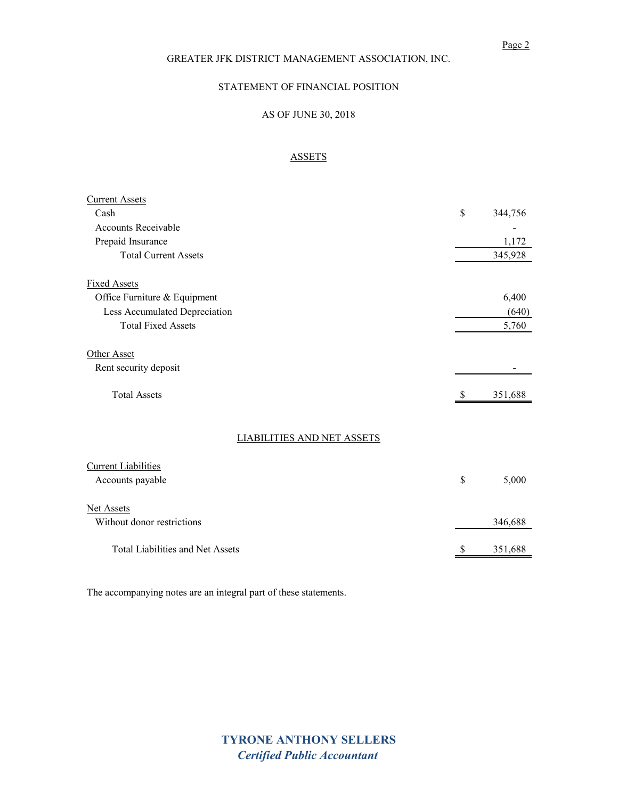## STATEMENT OF FINANCIAL POSITION

### AS OF JUNE 30, 2018

## ASSETS

| <b>Current Assets</b>                   |    |         |
|-----------------------------------------|----|---------|
| Cash                                    | \$ | 344,756 |
| <b>Accounts Receivable</b>              |    |         |
| Prepaid Insurance                       |    | 1,172   |
| <b>Total Current Assets</b>             |    | 345,928 |
| <b>Fixed Assets</b>                     |    |         |
| Office Furniture & Equipment            |    | 6,400   |
| Less Accumulated Depreciation           |    | (640)   |
| <b>Total Fixed Assets</b>               |    | 5,760   |
| Other Asset                             |    |         |
| Rent security deposit                   |    |         |
| <b>Total Assets</b>                     | D  | 351,688 |
| <b>LIABILITIES AND NET ASSETS</b>       |    |         |
| <b>Current Liabilities</b>              |    |         |
| Accounts payable                        | \$ | 5,000   |
| Net Assets                              |    |         |
| Without donor restrictions              |    | 346,688 |
| <b>Total Liabilities and Net Assets</b> | S  | 351,688 |

The accompanying notes are an integral part of these statements.

**TYRONE ANTHONY SELLERS** *Certified Public Accountant*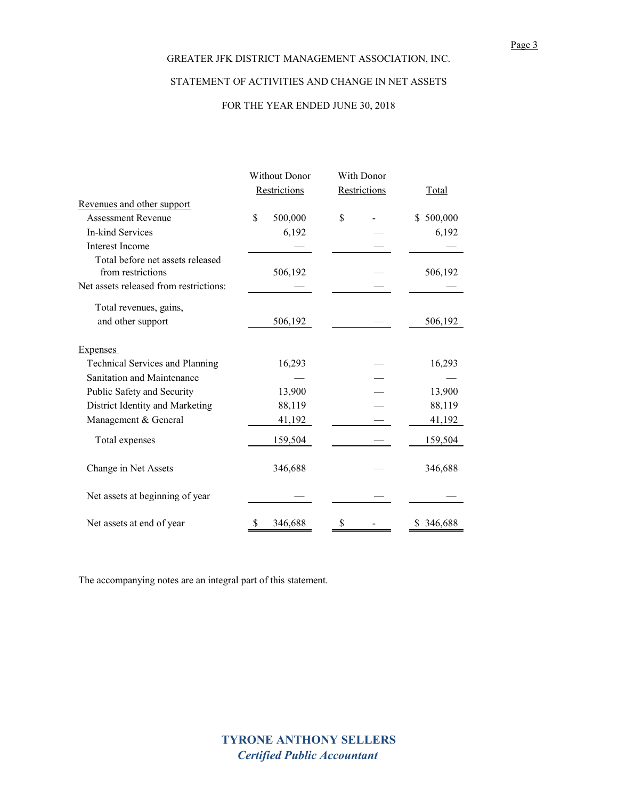# STATEMENT OF ACTIVITIES AND CHANGE IN NET ASSETS

## FOR THE YEAR ENDED JUNE 30, 2018

|                                                       | <b>Without Donor</b> | With Donor   |              |  |
|-------------------------------------------------------|----------------------|--------------|--------------|--|
|                                                       | Restrictions         | Restrictions | <b>Total</b> |  |
| Revenues and other support                            |                      |              |              |  |
| <b>Assessment Revenue</b>                             | \$<br>500,000        | \$           | \$500,000    |  |
| In-kind Services                                      | 6,192                |              | 6,192        |  |
| Interest Income                                       |                      |              |              |  |
| Total before net assets released<br>from restrictions | 506,192              |              | 506,192      |  |
| Net assets released from restrictions:                |                      |              |              |  |
| Total revenues, gains,                                |                      |              |              |  |
| and other support                                     | 506,192              |              | 506,192      |  |
| <b>Expenses</b>                                       |                      |              |              |  |
| <b>Technical Services and Planning</b>                | 16,293               |              | 16,293       |  |
| Sanitation and Maintenance                            |                      |              |              |  |
| Public Safety and Security                            | 13,900               |              | 13,900       |  |
| District Identity and Marketing                       | 88,119               |              | 88,119       |  |
| Management & General                                  | 41,192               |              | 41,192       |  |
| Total expenses                                        | 159,504              |              | 159,504      |  |
| Change in Net Assets                                  | 346,688              |              | 346,688      |  |
| Net assets at beginning of year                       |                      |              |              |  |
| Net assets at end of year                             | 346,688<br>S         | \$           | 346,688      |  |

The accompanying notes are an integral part of this statement.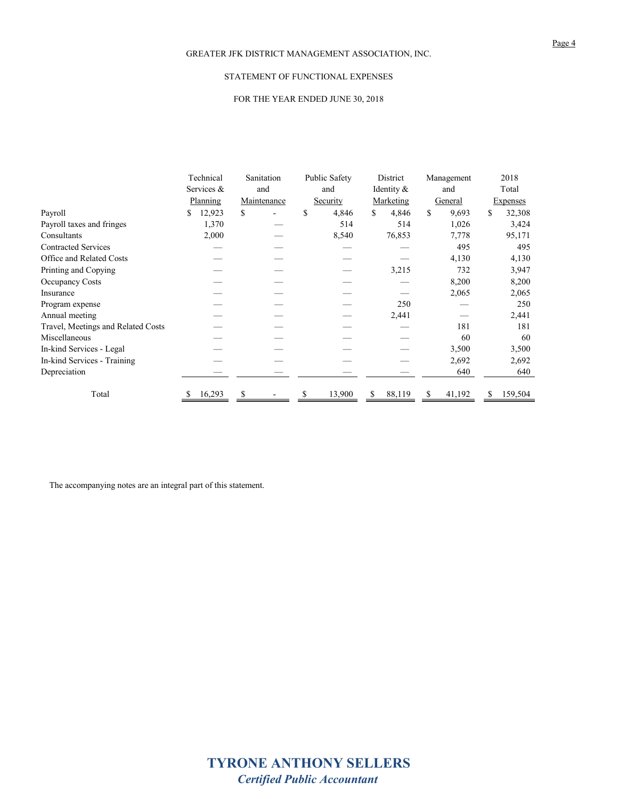### STATEMENT OF FUNCTIONAL EXPENSES

### FOR THE YEAR ENDED JUNE 30, 2018

|                                    | Technical<br>Services & | Sanitation<br>and | Public Safety<br>and | District<br>Identity & | Management<br>and | 2018<br>Total   |
|------------------------------------|-------------------------|-------------------|----------------------|------------------------|-------------------|-----------------|
|                                    | Planning                | Maintenance       | Security             | Marketing              | General           | <b>Expenses</b> |
| Payroll                            | 12,923<br>\$            | \$                | S<br>4,846           | S<br>4,846             | \$<br>9,693       | 32,308          |
| Payroll taxes and fringes          | 1,370                   |                   | 514                  | 514                    | 1,026             | 3,424           |
| Consultants                        | 2,000                   |                   | 8,540                | 76,853                 | 7,778             | 95,171          |
| <b>Contracted Services</b>         |                         |                   |                      |                        | 495               | 495             |
| Office and Related Costs           |                         |                   |                      |                        | 4,130             | 4,130           |
| Printing and Copying               |                         |                   |                      | 3,215                  | 732               | 3,947           |
| Occupancy Costs                    |                         |                   |                      |                        | 8,200             | 8,200           |
| Insurance                          |                         |                   |                      |                        | 2,065             | 2,065           |
| Program expense                    |                         |                   |                      | 250                    |                   | 250             |
| Annual meeting                     |                         |                   |                      | 2,441                  |                   | 2,441           |
| Travel, Meetings and Related Costs |                         |                   |                      |                        | 181               | 181             |
| Miscellaneous                      |                         |                   |                      |                        | 60                | 60              |
| In-kind Services - Legal           |                         |                   |                      |                        | 3,500             | 3,500           |
| In-kind Services - Training        |                         |                   |                      |                        | 2,692             | 2,692           |
| Depreciation                       |                         |                   |                      |                        | 640               | 640             |
| Total                              | 16,293                  |                   | 13,900               | 88,119                 | 41,192            | 159,504         |

The accompanying notes are an integral part of this statement.

Page 4

**TYRONE ANTHONY SELLERS** *Certified Public Accountant*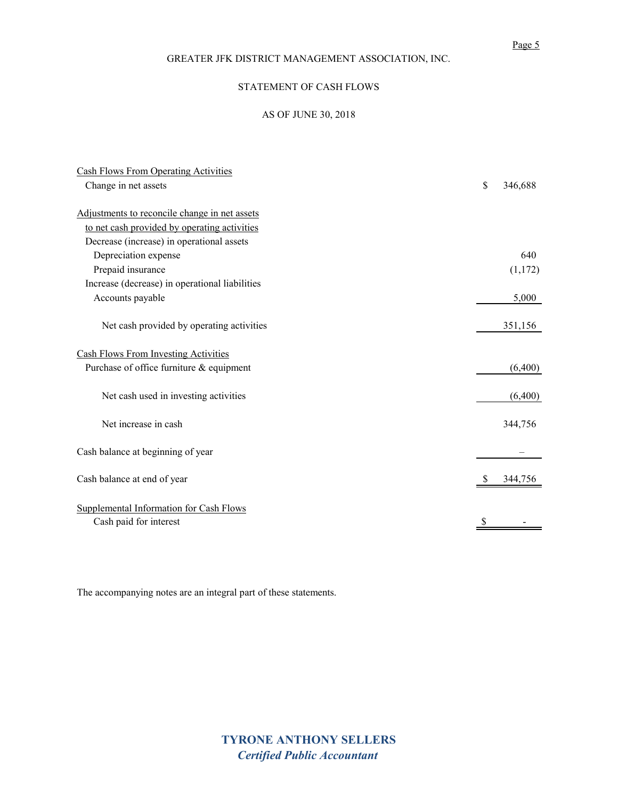## STATEMENT OF CASH FLOWS

### AS OF JUNE 30, 2018

| <b>Cash Flows From Operating Activities</b>                       |               |
|-------------------------------------------------------------------|---------------|
| Change in net assets                                              | \$<br>346,688 |
|                                                                   |               |
| Adjustments to reconcile change in net assets                     |               |
| to net cash provided by operating activities                      |               |
| Decrease (increase) in operational assets                         |               |
| Depreciation expense                                              | 640           |
| Prepaid insurance                                                 | (1,172)       |
| Increase (decrease) in operational liabilities                    |               |
| Accounts payable                                                  | 5,000         |
| Net cash provided by operating activities                         | 351,156       |
| Cash Flows From Investing Activities                              |               |
| Purchase of office furniture & equipment                          | (6,400)       |
| Net cash used in investing activities                             | (6,400)       |
| Net increase in cash                                              | 344,756       |
| Cash balance at beginning of year                                 |               |
| Cash balance at end of year                                       | 344,756       |
| Supplemental Information for Cash Flows<br>Cash paid for interest |               |

The accompanying notes are an integral part of these statements.

**TYRONE ANTHONY SELLERS** *Certified Public Accountant*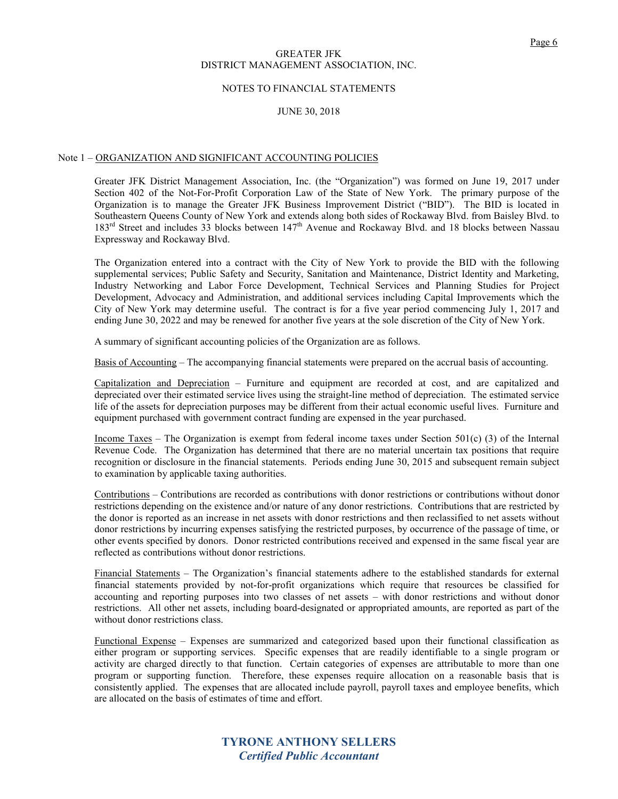### NOTES TO FINANCIAL STATEMENTS

#### JUNE 30, 2018

#### Note 1 – ORGANIZATION AND SIGNIFICANT ACCOUNTING POLICIES

Greater JFK District Management Association, Inc. (the "Organization") was formed on June 19, 2017 under Section 402 of the Not-For-Profit Corporation Law of the State of New York. The primary purpose of the Organization is to manage the Greater JFK Business Improvement District ("BID"). The BID is located in Southeastern Queens County of New York and extends along both sides of Rockaway Blvd. from Baisley Blvd. to 183<sup>rd</sup> Street and includes 33 blocks between 147<sup>th</sup> Avenue and Rockaway Blvd. and 18 blocks between Nassau Expressway and Rockaway Blvd.

The Organization entered into a contract with the City of New York to provide the BID with the following supplemental services; Public Safety and Security, Sanitation and Maintenance, District Identity and Marketing, Industry Networking and Labor Force Development, Technical Services and Planning Studies for Project Development, Advocacy and Administration, and additional services including Capital Improvements which the City of New York may determine useful. The contract is for a five year period commencing July 1, 2017 and ending June 30, 2022 and may be renewed for another five years at the sole discretion of the City of New York.

A summary of significant accounting policies of the Organization are as follows.

Basis of Accounting – The accompanying financial statements were prepared on the accrual basis of accounting.

Capitalization and Depreciation – Furniture and equipment are recorded at cost, and are capitalized and depreciated over their estimated service lives using the straight-line method of depreciation. The estimated service life of the assets for depreciation purposes may be different from their actual economic useful lives. Furniture and equipment purchased with government contract funding are expensed in the year purchased.

Income Taxes – The Organization is exempt from federal income taxes under Section 501(c) (3) of the Internal Revenue Code. The Organization has determined that there are no material uncertain tax positions that require recognition or disclosure in the financial statements. Periods ending June 30, 2015 and subsequent remain subject to examination by applicable taxing authorities.

Contributions – Contributions are recorded as contributions with donor restrictions or contributions without donor restrictions depending on the existence and/or nature of any donor restrictions. Contributions that are restricted by the donor is reported as an increase in net assets with donor restrictions and then reclassified to net assets without donor restrictions by incurring expenses satisfying the restricted purposes, by occurrence of the passage of time, or other events specified by donors. Donor restricted contributions received and expensed in the same fiscal year are reflected as contributions without donor restrictions.

Financial Statements – The Organization's financial statements adhere to the established standards for external financial statements provided by not-for-profit organizations which require that resources be classified for accounting and reporting purposes into two classes of net assets – with donor restrictions and without donor restrictions. All other net assets, including board-designated or appropriated amounts, are reported as part of the without donor restrictions class.

Functional Expense – Expenses are summarized and categorized based upon their functional classification as either program or supporting services. Specific expenses that are readily identifiable to a single program or activity are charged directly to that function. Certain categories of expenses are attributable to more than one program or supporting function. Therefore, these expenses require allocation on a reasonable basis that is consistently applied. The expenses that are allocated include payroll, payroll taxes and employee benefits, which are allocated on the basis of estimates of time and effort.

> **TYRONE ANTHONY SELLERS**  *Certified Public Accountant*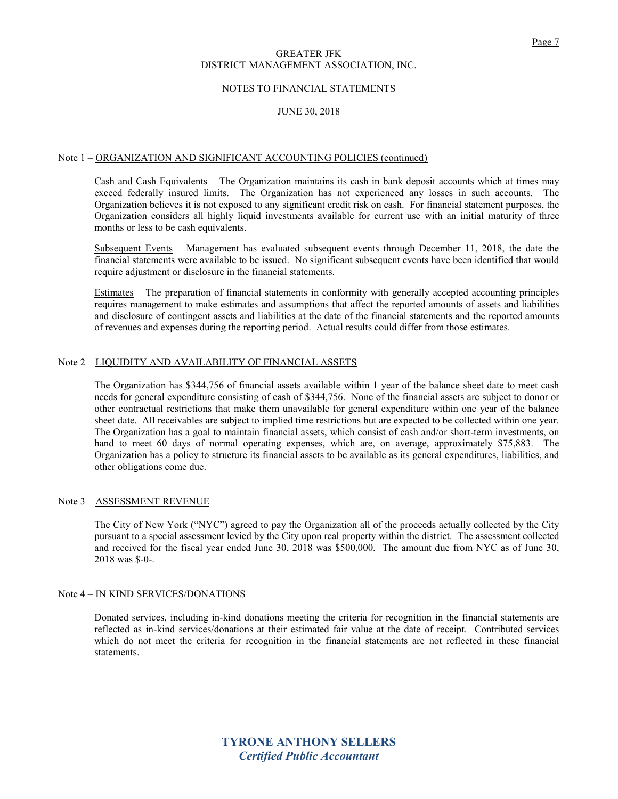### NOTES TO FINANCIAL STATEMENTS

### JUNE 30, 2018

### Note 1 – ORGANIZATION AND SIGNIFICANT ACCOUNTING POLICIES (continued)

Cash and Cash Equivalents – The Organization maintains its cash in bank deposit accounts which at times may exceed federally insured limits. The Organization has not experienced any losses in such accounts. The Organization believes it is not exposed to any significant credit risk on cash. For financial statement purposes, the Organization considers all highly liquid investments available for current use with an initial maturity of three months or less to be cash equivalents.

Subsequent Events – Management has evaluated subsequent events through December 11, 2018, the date the financial statements were available to be issued. No significant subsequent events have been identified that would require adjustment or disclosure in the financial statements.

Estimates – The preparation of financial statements in conformity with generally accepted accounting principles requires management to make estimates and assumptions that affect the reported amounts of assets and liabilities and disclosure of contingent assets and liabilities at the date of the financial statements and the reported amounts of revenues and expenses during the reporting period. Actual results could differ from those estimates.

### Note 2 – LIQUIDITY AND AVAILABILITY OF FINANCIAL ASSETS

The Organization has \$344,756 of financial assets available within 1 year of the balance sheet date to meet cash needs for general expenditure consisting of cash of \$344,756. None of the financial assets are subject to donor or other contractual restrictions that make them unavailable for general expenditure within one year of the balance sheet date. All receivables are subject to implied time restrictions but are expected to be collected within one year. The Organization has a goal to maintain financial assets, which consist of cash and/or short-term investments, on hand to meet 60 days of normal operating expenses, which are, on average, approximately \$75,883. The Organization has a policy to structure its financial assets to be available as its general expenditures, liabilities, and other obligations come due.

### Note 3 – ASSESSMENT REVENUE

The City of New York ("NYC") agreed to pay the Organization all of the proceeds actually collected by the City pursuant to a special assessment levied by the City upon real property within the district. The assessment collected and received for the fiscal year ended June 30, 2018 was \$500,000. The amount due from NYC as of June 30, 2018 was \$-0-.

### Note 4 – IN KIND SERVICES/DONATIONS

Donated services, including in-kind donations meeting the criteria for recognition in the financial statements are reflected as in-kind services/donations at their estimated fair value at the date of receipt. Contributed services which do not meet the criteria for recognition in the financial statements are not reflected in these financial statements.

> **TYRONE ANTHONY SELLERS**  *Certified Public Accountant*